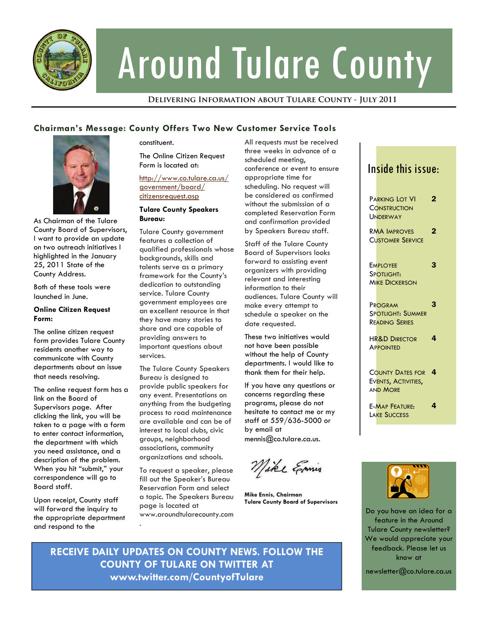

# Around Tulare County

**Delivering Information about Tulare County - July 2011** 

# **Chairman's Message: County Offers Two New Customer Service Tools**



As Chairman of the Tulare County Board of Supervisors, I want to provide an update on two outreach initiatives I highlighted in the January 25, 2011 State of the County Address.

Both of these tools were launched in June.

### **Online Citizen Request Form:**

The online citizen request form provides Tulare County residents another way to communicate with County departments about an issue that needs resolving.

The online request form has a link on the Board of Supervisors page. After clicking the link, you will be taken to a page with a form to enter contact information, the department with which you need assistance, and a description of the problem. When you hit "submit," your correspondence will go to Board staff.

Upon receipt, County staff will forward the inquiry to the appropriate department and respond to the

constituent.

The Online Citizen Request Form is located at:

[http://www.co.tulare.ca.us/](http://www.co.tulare.ca.us/government/board/citizensrequest.asp) [government/board/](http://www.co.tulare.ca.us/government/board/citizensrequest.asp) [citizensrequest.asp](http://www.co.tulare.ca.us/government/board/citizensrequest.asp)

### **Tulare County Speakers Bureau:**

Tulare County government features a collection of qualified professionals whose backgrounds, skills and talents serve as a primary framework for the County's dedication to outstanding service. Tulare County government employees are an excellent resource in that they have many stories to share and are capable of providing answers to important questions about services.

The Tulare County Speakers Bureau is designed to provide public speakers for any event. Presentations on anything from the budgeting process to road maintenance are available and can be of interest to local clubs, civic groups, neighborhood associations, community organizations and schools.

To request a speaker, please fill out the Speaker's Bureau Reservation Form and select a topic. The Speakers Bureau page is located at www.aroundtularecounty.com .

All requests must be received three weeks in advance of a scheduled meeting, conference or event to ensure appropriate time for scheduling. No request will be considered as confirmed without the submission of a completed Reservation Form and confirmation provided by Speakers Bureau staff.

Staff of the Tulare County Board of Supervisors looks forward to assisting event organizers with providing relevant and interesting information to their audiences. Tulare County will make every attempt to schedule a speaker on the date requested.

These two initiatives would not have been possible without the help of County departments. I would like to thank them for their help.

If you have any questions or concerns regarding these programs, please do not hesitate to contact me or my staff at 559/636-5000 or by email at mennis@co.tulare.ca.us.

Mike Emis

**Mike Ennis, Chairman Tulare County Board of Supervisors** 

# Inside this issue:

| PARKING LOT VI                                                    | 2 |
|-------------------------------------------------------------------|---|
| <b>CONSTRUCTION</b><br>UNDERWAY                                   |   |
| <b>RMA IMPROVES</b><br><b>CUSTOMER SERVICE</b>                    | 2 |
| <b>EMPLOYEE</b><br>SPOTLIGHT:<br><b>MIKE DICKERSON</b>            | 3 |
| PROGRAM<br>SPOTLIGHT: SUMMER<br><b>READING SERIES</b>             | 3 |
| <b>HR&amp;D DIRECTOR</b><br><b>APPOINTED</b>                      | 4 |
| <b>COUNTY DATES FOR</b><br>EVENTS, ACTIVITIES,<br><b>AND MORE</b> | 4 |
| <b>E-MAP FEATURE:</b><br><b>LAKE SUCCESS</b>                      | 4 |



Do you have an idea for a feature in the Around Tulare County newsletter? We would appreciate your feedback. Please let us know at

newsletter@co.tulare.ca.us

**RECEIVE DAILY UPDATES ON COUNTY NEWS. FOLLOW THE COUNTY OF TULARE ON TWITTER AT www.twitter.com/CountyofTulare**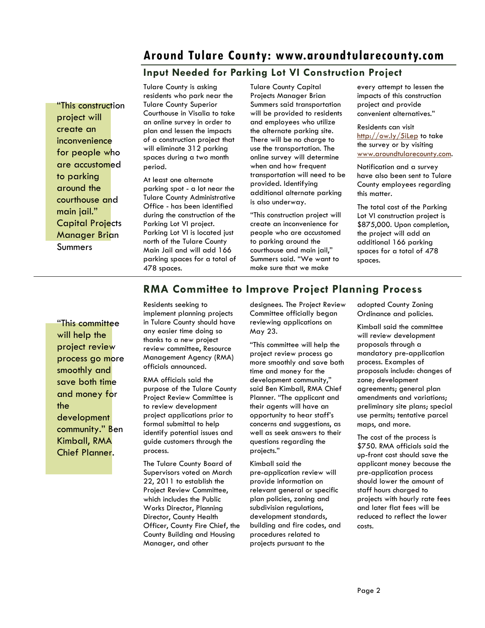# **Around Tulare County: www.aroundtularecounty.com**

# **Input Needed for Parking Lot VI Construction Project**

"This construction project will create an inconvenience for people who are accustomed to parking around the courthouse and main jail." Capital Projects Manager Brian **Summers** 

Tulare County is asking residents who park near the Tulare County Superior Courthouse in Visalia to take an online survey in order to plan and lessen the impacts of a construction project that will eliminate 312 parking spaces during a two month period.

At least one alternate parking spot - a lot near the Tulare County Administrative Office - has been identified during the construction of the Parking Lot VI project. Parking Lot VI is located just north of the Tulare County Main Jail and will add 166 parking spaces for a total of 478 spaces.

Tulare County Capital Projects Manager Brian Summers said transportation will be provided to residents and employees who utilize the alternate parking site. There will be no charge to use the transportation. The online survey will determine when and how frequent transportation will need to be provided. Identifying additional alternate parking is also underway.

"This construction project will create an inconvenience for people who are accustomed to parking around the courthouse and main jail," Summers said. "We want to make sure that we make

every attempt to lessen the impacts of this construction project and provide convenient alternatives."

Residents can visit <http://ow.ly/5iLep> to take the survey or by visiting [www.aroundtularecounty.com](http://www.aroundtularecounty.com/).

Notification and a survey have also been sent to Tulare County employees regarding this matter.

The total cost of the Parking Lot VI construction project is \$875,000. Upon completion, the project will add an additional 166 parking spaces for a total of 478 spaces.

# **RMA Committee to Improve Project Planning Process**

"This committee will help the project review process go more smoothly and save both time and money for the development community." Ben Kimball, RMA Chief Planner.

Residents seeking to implement planning projects in Tulare County should have any easier time doing so thanks to a new project review committee, Resource Management Agency (RMA) officials announced.

RMA officials said the purpose of the Tulare County Project Review Committee is to review development project applications prior to formal submittal to help identify potential issues and guide customers through the process.

The Tulare County Board of Supervisors voted on March 22, 2011 to establish the Project Review Committee, which includes the Public Works Director, Planning Director, County Health Officer, County Fire Chief, the County Building and Housing Manager, and other

designees. The Project Review Committee officially began reviewing applications on May 23.

"This committee will help the project review process go more smoothly and save both time and money for the development community," said Ben Kimball, RMA Chief Planner. "The applicant and their agents will have an opportunity to hear staff's concerns and suggestions, as well as seek answers to their questions regarding the projects."

Kimball said the pre-application review will provide information on relevant general or specific plan policies, zoning and subdivision regulations, development standards, building and fire codes, and procedures related to projects pursuant to the

adopted County Zoning Ordinance and policies.

Kimball said the committee will review development proposals through a mandatory pre-application process. Examples of proposals include: changes of zone; development agreements; general plan amendments and variations; preliminary site plans; special use permits; tentative parcel maps, and more.

The cost of the process is \$750. RMA officials said the up-front cost should save the applicant money because the pre-application process should lower the amount of staff hours charged to projects with hourly rate fees and later flat fees will be reduced to reflect the lower costs.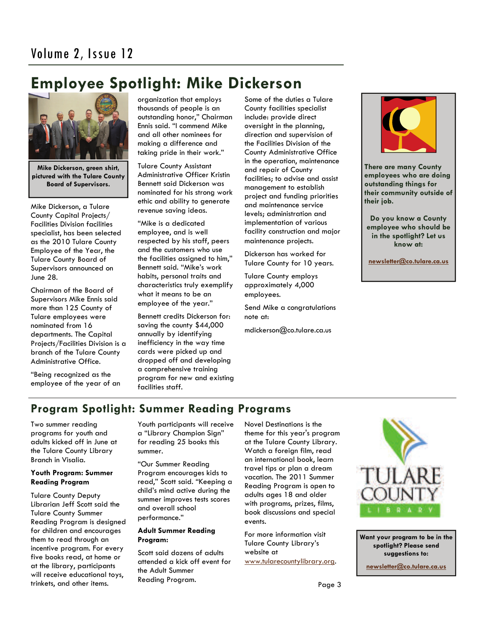# **Employee Spotlight: Mike Dickerson**



**Mike Dickerson, green shirt, pictured with the Tulare County Board of Supervisors.** 

Mike Dickerson, a Tulare County Capital Projects/ Facilities Division facilities specialist, has been selected as the 2010 Tulare County Employee of the Year, the Tulare County Board of Supervisors announced on June 28.

Chairman of the Board of Supervisors Mike Ennis said more than 125 County of Tulare employees were nominated from 16 departments. The Capital Projects/Facilities Division is a branch of the Tulare County Administrative Office.

"Being recognized as the employee of the year of an organization that employs thousands of people is an outstanding honor," Chairman Ennis said. "I commend Mike and all other nominees for making a difference and taking pride in their work."

Tulare County Assistant Administrative Officer Kristin Bennett said Dickerson was nominated for his strong work ethic and ability to generate revenue saving ideas.

"Mike is a dedicated employee, and is well respected by his staff, peers and the customers who use the facilities assigned to him," Bennett said. "Mike's work habits, personal traits and characteristics truly exemplify what it means to be an employee of the year."

Bennett credits Dickerson for: saving the county \$44,000 annually by identifying inefficiency in the way time cards were picked up and dropped off and developing a comprehensive training program for new and existing facilities staff.

Some of the duties a Tulare County facilities specialist include: provide direct oversight in the planning, direction and supervision of the Facilities Division of the County Administrative Office in the operation, maintenance and repair of County facilities; to advise and assist management to establish project and funding priorities and maintenance service levels; administration and implementation of various facility construction and major maintenance projects.

Dickerson has worked for Tulare County for 10 years.

Tulare County employs approximately 4,000 employees.

Send Mike a congratulations note at:

mdickerson@co.tulare.ca.us



**There are many County employees who are doing outstanding things for their community outside of their job.** 

**Do you know a County employee who should be in the spotlight? Let us know at:** 

 **[newsletter@co.tulare.ca.us](mailto:newsletter@co.tulare.ca.us?subject=Employee%20spotlight)**

# **Program Spotlight: Summer Reading Programs**

Two summer reading programs for youth and adults kicked off in June at the Tulare County Library Branch in Visalia.

### **Youth Program: Summer Reading Program**

Tulare County Deputy Librarian Jeff Scott said the Tulare County Summer Reading Program is designed for children and encourages them to read through an incentive program. For every five books read, at home or at the library, participants will receive educational toys, trinkets, and other items.

Youth participants will receive a "Library Champion Sign" for reading 25 books this summer.

"Our Summer Reading Program encourages kids to read," Scott said. "Keeping a child's mind active during the summer improves tests scores and overall school performance."

### **Adult Summer Reading Program:**

Scott said dozens of adults attended a kick off event for the Adult Summer Reading Program.

Novel Destinations is the theme for this year's program at the Tulare County Library. Watch a foreign film, read an international book, learn travel tips or plan a dream vacation. The 2011 Summer Reading Program is open to adults ages 18 and older with programs, prizes, films, book discussions and special events.

For more information visit Tulare County Library's website at [www.tularecountylibrary.org](http://www.tularecountylibrary.org/).



**Want your program to be in the spotlight? Please send suggestions to:** 

**[newsletter@co.tulare.ca.us](mailto:newsletter@co.tulare.ca.us?subject=Program%20spotlight)**